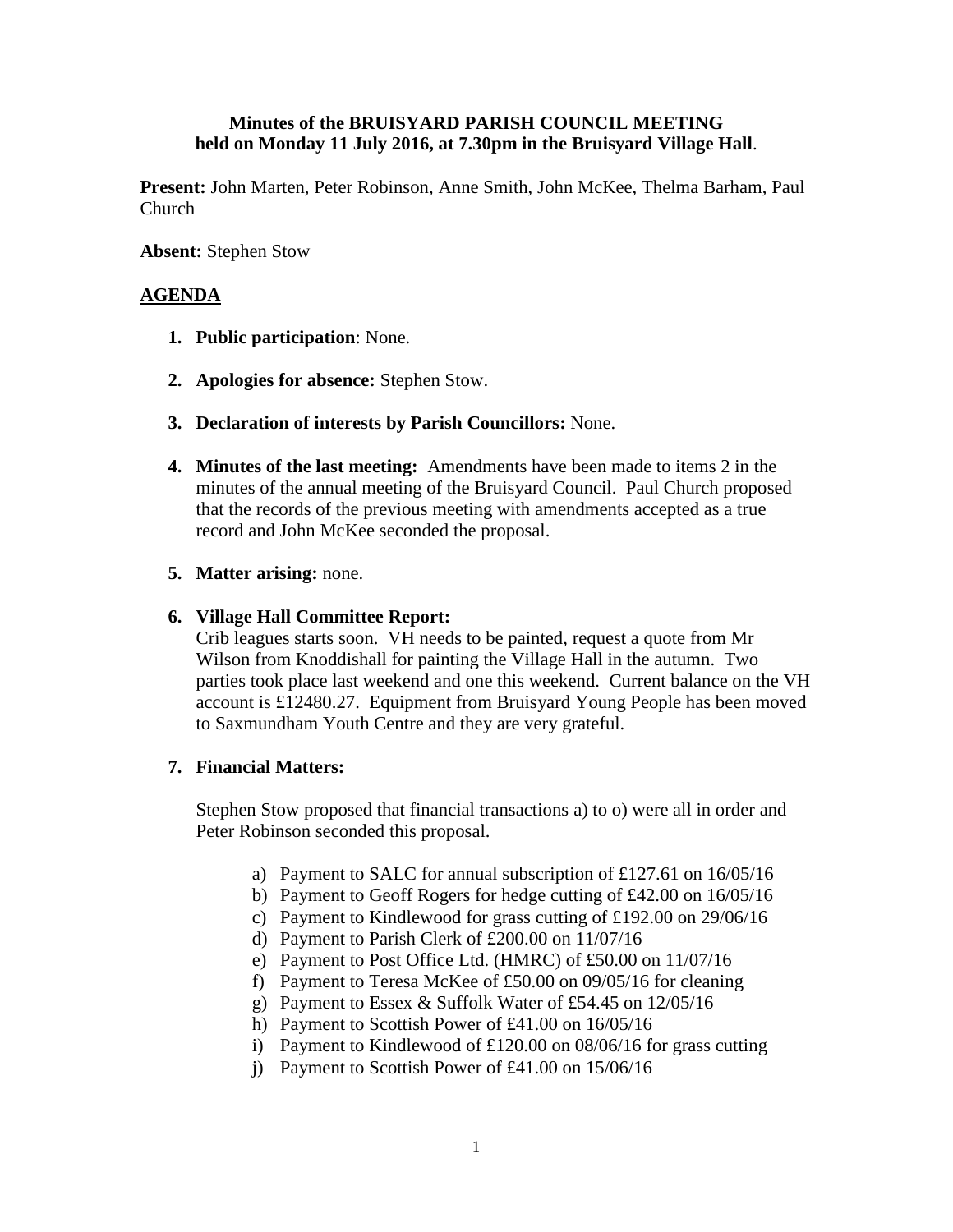# **Minutes of the BRUISYARD PARISH COUNCIL MEETING held on Monday 11 July 2016, at 7.30pm in the Bruisyard Village Hall**.

**Present:** John Marten, Peter Robinson, Anne Smith, John McKee, Thelma Barham, Paul Church

## **Absent:** Stephen Stow

# **AGENDA**

- **1. Public participation**: None.
- **2. Apologies for absence:** Stephen Stow.
- **3. Declaration of interests by Parish Councillors:** None.
- **4. Minutes of the last meeting:** Amendments have been made to items 2 in the minutes of the annual meeting of the Bruisyard Council. Paul Church proposed that the records of the previous meeting with amendments accepted as a true record and John McKee seconded the proposal.
- **5. Matter arising:** none.

### **6. Village Hall Committee Report:**

Crib leagues starts soon. VH needs to be painted, request a quote from Mr Wilson from Knoddishall for painting the Village Hall in the autumn. Two parties took place last weekend and one this weekend. Current balance on the VH account is £12480.27. Equipment from Bruisyard Young People has been moved to Saxmundham Youth Centre and they are very grateful.

#### **7. Financial Matters:**

Stephen Stow proposed that financial transactions a) to o) were all in order and Peter Robinson seconded this proposal.

- a) Payment to SALC for annual subscription of £127.61 on 16/05/16
- b) Payment to Geoff Rogers for hedge cutting of £42.00 on 16/05/16
- c) Payment to Kindlewood for grass cutting of £192.00 on 29/06/16
- d) Payment to Parish Clerk of £200.00 on 11/07/16
- e) Payment to Post Office Ltd. (HMRC) of £50.00 on 11/07/16
- f) Payment to Teresa McKee of £50.00 on 09/05/16 for cleaning
- g) Payment to Essex & Suffolk Water of £54.45 on 12/05/16
- h) Payment to Scottish Power of £41.00 on 16/05/16
- i) Payment to Kindlewood of £120.00 on 08/06/16 for grass cutting
- j) Payment to Scottish Power of £41.00 on 15/06/16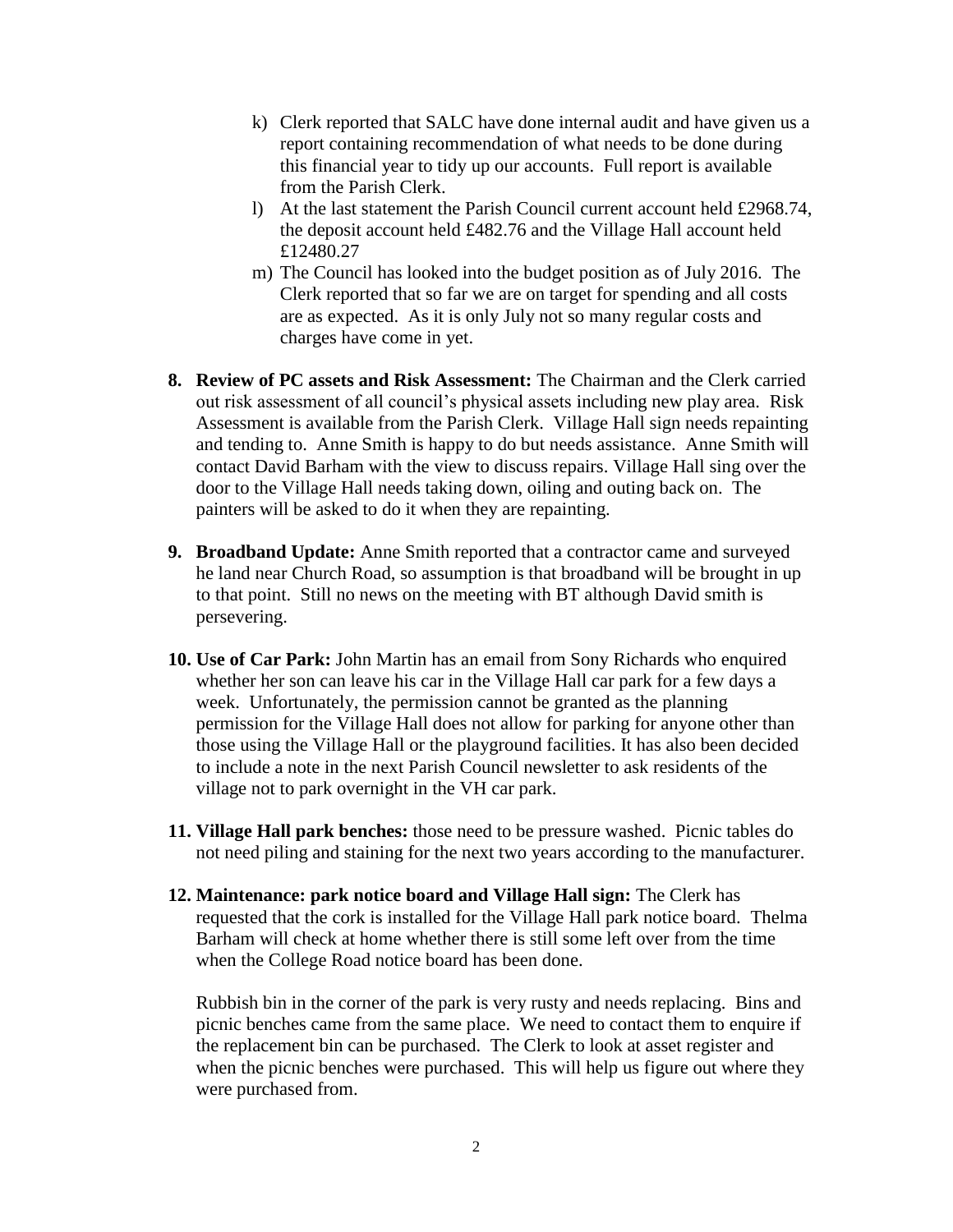- k) Clerk reported that SALC have done internal audit and have given us a report containing recommendation of what needs to be done during this financial year to tidy up our accounts. Full report is available from the Parish Clerk.
- l) At the last statement the Parish Council current account held £2968.74, the deposit account held £482.76 and the Village Hall account held £12480.27
- m) The Council has looked into the budget position as of July 2016. The Clerk reported that so far we are on target for spending and all costs are as expected. As it is only July not so many regular costs and charges have come in yet.
- **8. Review of PC assets and Risk Assessment:** The Chairman and the Clerk carried out risk assessment of all council's physical assets including new play area. Risk Assessment is available from the Parish Clerk. Village Hall sign needs repainting and tending to. Anne Smith is happy to do but needs assistance. Anne Smith will contact David Barham with the view to discuss repairs. Village Hall sing over the door to the Village Hall needs taking down, oiling and outing back on. The painters will be asked to do it when they are repainting.
- **9. Broadband Update:** Anne Smith reported that a contractor came and surveyed he land near Church Road, so assumption is that broadband will be brought in up to that point. Still no news on the meeting with BT although David smith is persevering.
- **10. Use of Car Park:** John Martin has an email from Sony Richards who enquired whether her son can leave his car in the Village Hall car park for a few days a week. Unfortunately, the permission cannot be granted as the planning permission for the Village Hall does not allow for parking for anyone other than those using the Village Hall or the playground facilities. It has also been decided to include a note in the next Parish Council newsletter to ask residents of the village not to park overnight in the VH car park.
- **11. Village Hall park benches:** those need to be pressure washed. Picnic tables do not need piling and staining for the next two years according to the manufacturer.
- **12. Maintenance: park notice board and Village Hall sign:** The Clerk has requested that the cork is installed for the Village Hall park notice board. Thelma Barham will check at home whether there is still some left over from the time when the College Road notice board has been done.

Rubbish bin in the corner of the park is very rusty and needs replacing. Bins and picnic benches came from the same place. We need to contact them to enquire if the replacement bin can be purchased. The Clerk to look at asset register and when the picnic benches were purchased. This will help us figure out where they were purchased from.